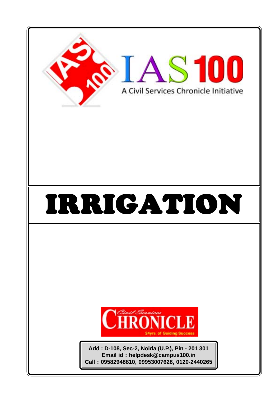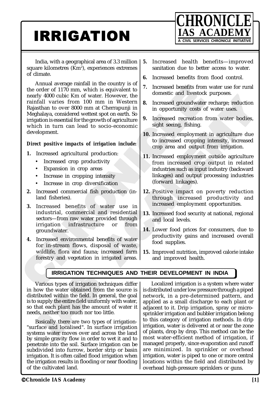# **IRRIGATION EXAMPLE INITIATIVE**



India, with a geographical area of 3.3 million square kilometres (Km²), experiences extremes of climate.

The model of the strained bendfits from the strained bendfit of the strained Hotel Kindall varies from 100 mm in Western density and to expand a considered weters for oriental in opportunity costs of the strained bendfits Which is equivalent to<br>
100 mm in Western<br>
100 mm in Western<br>
100 mm in Western<br>
100 mm in Western<br>
100 mm in Western<br>
100 mm in Western<br>
100 mm in Western<br>
100 mm in Western<br>
100 mm in Western<br>
100 mm in Western<br>
100 mm i Annual average rainfall in the country is of the order of 1170 mm, which is equivalent to nearly 4000 cubic Km of water. However, the rainfall varies from 100 mm in Western Rajasthan to over 8000 mm at Cherrapunji in Meghalaya, considered wettest spot on earth. So irrigation is essential for the growth of agriculture which in turn can lead to socio-economic development.

## *Direct positive impacts of irrigation include:*

- **1.** Increased agricultural production:
	- Increased crop productivity
		- Expansion in crop areas
	- Increase in cropping intensity
	- Increase in crop diversification
- **2.** Increased commercial fish production (inland fisheries).
- **3.** Increased benefits of water use in industrial, commercial and residential sectors—from raw water provided through irrigation infrastructure or from groundwater.
- **4.** Increased environmental benefits of water for in-stream flows, disposal of waste, wildlife, flora and fauna; increased farm forestry and vegetation in irrigated areas.
- **5.** Increased health benefits—improved sanitation due to better access to water.
- **6.** Increased benefits from flood control.
- **7.** Increased benefits from water use for rural domestic and livestock purposes.
- **8.** Increased groundwater recharge; reduction in opportunity costs of water uses.
- **9.** Increased recreation from water bodies, sight seeing, fishing.
- **10.** Increased employment in agriculture due to increased cropping intensity, increased crop area and output from irrigation.
- Fractrice (Fig. 16)<br>
m in Western and Theorem and Theorem (Cherraptor) in the stead groundwater recharge; reduction<br>
who agriculture in apportunity costs of vater uses.<br>
who agriculture due to increased recreation from wa **11.** Increased employment outside agriculture from increased crop output in related industries such as input industry (backward linkages) and output processing industries (forward linkages).
	- **12.** Positive impact on poverty reduction through increased productivity and increased employment opportunities.
	- **13.** Increased food security at national, regional and local levels.
	- **14.** Lower food prices for consumers, due to productivity gains and increased overall food supplies.
	- **15.** Improved nutrition, improved calorie intake and improved health.

## **IRRIGATION TECHNIQUES AND THEIR DEVELOPMENT IN INDIA**

**EXECUTE THE EXECUTE CHAIG**<br>
Various types of irrigation techn<br>
ibuted within the field. In gener<br>
supply the entire field uniformly<br>
nat each plant has the amount<br>
s, neither too much nor too little<br>
lasically there are t **IRRIGATION TECHNIQU**<br>
arious types of irrigation technic<br>
w the water obtained from the<br>
buted within the field. In genera<br>
supply the entire field uniformly v<br>
at each plant has the amount of<br>
s, neither too much nor too Various types of irrigation techniques differ in how the water obtained from the source is distributed within the field. In general, the goal is to supply the entire field uniformly with water, so that each plant has the amount of water it needs, neither too much nor too little.

Basically there are two types of irrigation- "surface and localised". In surface irrigation systems water moves over and across the land by simple gravity flow in order to wet it and to penetrate into the soil. Surface irrigation can be subdivided into furrow, border strip or basin irrigation. It is often called flood irrigation when the irrigation results in flooding or near flooding of the cultivated land.

Localized irrigation is a system where water is distributed under low pressure through a piped network, in a pre-determined pattern, and applied as a small discharge to each plant or adjacent to it. Drip irrigation, spray or microsprinkler irrigation and bubbler irrigation belong to this category of irrigation methods. In drip irrigation, water is delivered at or near the zone of plants, drop by drop. This method can be the most water-efficient method of irrigation, if managed properly, since evaporation and runoff are minimized. In sprinkler or overhead irrigation, water is piped to one or more central locations within the field and distributed by overhead high-pressure sprinklers or guns.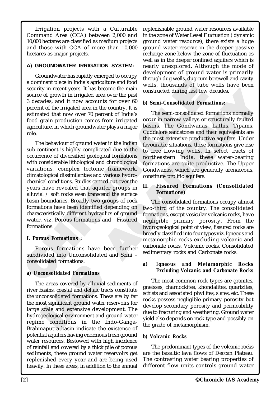Irrigation projects with a Culturable Command Area (CCA) between 2,000 and 10,000 hectares are classified as medium projects and those with CCA of more than 10,000 hectares as major projects.

## **A) GROUNDWATER IRRIGATION SYSTEM:**

Groundwater has rapidly emerged to occupy a dominant place in India's agriculture and food security in recent years. It has become the main source of growth in irrigated area over the past 3 decades, and it now accounts for over 60 percent of the irrigated area in the country. It is estimated that now over 70 percent of India's food grain production comes from irrigated agriculture, in which groundwater plays a major role.

a dominant place in India's agriculture and food<br>
solution the subsecutive in recent years. It has become the main<br>
solution in irrigated area over the past<br>
solution solution of the subsecuted during last few<br>
Succes of The behaviour of ground water in the Indian sub-continent is highly complicated due to the occurrence of diversified geological formations with considerable lithological and chronological variations, complex tectonic framework, climatological dissimilarities and various hydrochemical conditions. Studies carried out over the years have revealed that aquifer groups in alluvial / soft rocks even transcend the surface basin boundaries. Broadly two groups of rock formations have been identified depending on characteristically different hydraulics of ground water, viz. Porous formations and Fissured formations.

## **I. Porous Formations :**

Porous formations have been further subdivided into Unconsolidated and Semi – consolidated formations:

## **a***) Unconsolidated Formations*

**Consolidated Formations.**<br> **Consolidated Formations**<br>
re areas covered by alluvial sec<br>
basins, coastal and deltaic tracts<br>
reconsolidated formations. These<br>
ost significant ground water res<br>
scale and extensive develop<br> **consolidated Formations**<br>e areas covered by alluvial sed<br>pasins, coastal and deltaic tracts<br>aconsolidated formations. These<br>ost significant ground water rese<br>scale and extensive developn<br>geological environment and grou<br>ne The areas covered by alluvial sediments of river basins, coastal and deltaic tracts constitute the unconsolidated formations. These are by far the most significant ground water reservoirs for large scale and extensive development. The hydrogeological environment and ground water regime conditions in the Indo-Ganga-Brahmaputra basin indicate the existence of potential aquifers having enormous fresh ground water resources. Bestowed with high incidence of rainfall and covered by a thick pile of porous sediments, these ground water reservoirs get replenished every year and are being used heavily. In these areas, in addition to the annual replenishable ground water resources available in the zone of Water Level Fluctuation ( dynamic ground water resource), there exists a huge ground water reserve in the deeper passive recharge zone below the zone of fluctuation as well as in the deeper confined aquifers which is nearly unexplored. Although the mode of development of ground water is primarily through dug wells, dug cum borewell and cavity wells, thousands of tube wells have been constructed during last few decades.

## *b) Semi-Consolidated Formations:*

a's agriculture and food<br>
It has become the main<br>
gated area over the past<br>
accounts for over 60<br>
onstructed during last few<br>
race in the country. It is<br>
r 70 percent of India's<br>
comes from irrigated<br>
or The semi-consolida Exame the main constructed during last few decades.<br>
As a over the past<br>
the country. It is<br>
the country. It is<br>
the semi-consolidated Formations:<br>
from irrigated<br>
from irrigated<br>
orcur in narrow valleys or structurally fa The semi-consolidated formations normally occur in narrow valleys or structurally faulted basins. The Gondwanas, Lathis, Tipams, Cuddalore sandstones and their equivalents are the most extensive productive aquifers. Under favourable situations, these formations give rise to free flowing wells. In select tracts of northeastern India, these water-bearing formations are quite productive. The Upper Gondwanas, which are generally arenaceous, constitute prolific aquifers.

## **II. Fissured Formations (Consolidated Formations)**

The consolidated formations occupy almost two-third of the country. The consolidated formations, except vesicular volcanic rocks, have negligible primary porosity. From the hydrogeological point of view, fissured rocks are broadly classified into four types viz. Igneous and metamorphic rocks excluding volcanic and carbonate rocks, Volcanic rocks, Consolidated sedimentary rocks and Carbonate rocks.

#### *a) Igneous and Metamorphic Rocks Excluding Volcanic and Carbonate Rocks*

The most common rock types are granites, gneisses, charnockites, khondalites, quartzites, schists and associated phyllites, slates, etc. These rocks possess negligible primary porosity but develop secondary porosity and permeability due to fracturing and weathering. Ground water yield also depends on rock type and possibly on the grade of metamorphism.

## *b) Volcanic Rocks*

The predominant types of the volcanic rocks are the basaltic lava flows of Deccan Plateau. The contrasting water bearing properties of different flow units controls ground water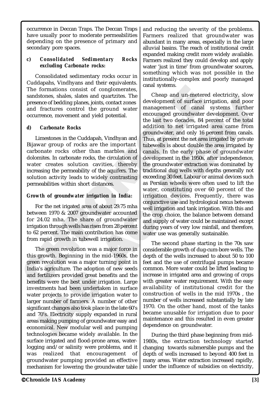occurrence in Deccan Traps. The Deccan Traps have usually poor to moderate permeabilities depending on the presence of primary and secondary pore spaces.

## *c) Consolidated Sedimentary Rocks excluding Carbonate rocks:*

Consolidated sedimentary rocks occur in Cuddapahs, Vindhyans and their equivalents. The formations consist of conglomerates, sandstones, shales, slates and quartzites. The presence of bedding planes, joints, contact zones and fractures control the ground water occurrence, movement and yield potential.

## *d) Carbonate Rocks*

Limestones in the Cuddapah, Vindhyan and Bijawar group of rocks are the important carbonate rocks other than marbles and dolomites. In carbonate rocks, the circulation of water creates solution cavities, thereby increasing the permeability of the aquifers. The solution activity leads to widely contrasting permeabilities within short distances.

## *Growth of groundwater irrigation in India:*

For the net irigated area of about 29.75 mha between 1970 & 2007 groundwater accounted for 24.02 mha. The share of groundwater irrigation through wells has risen from 28 percent to 62 percent. The main contribution has come from rapid growth in tubewell irrigation.

Is agriculture. The adoption of<br>fertilizers provided great benef<br>fits were the best under irriga<br>stments had been undertaken<br>r projects to provide irrigatio<br>r number of farmers. A numb<br>ficant changes also took place in<br>70' Sagneture. The adoption of<br>fertilizers provided great benefit<br>fits were the best under irrigat<br>stments had been undertaken<br>r projects to provide irrigation<br>r number of farmers. A numbe<br>ficant changes also took place in t<br>7 The green revolution was a major force in this growth. Beginning in the mid-1960s, the green revolution was a major turning point in India's agriculture. The adoption of new seeds and fertilizers provided great benefits and the benefits were the best under irrigation. Large investments had been undertaken in surface water projects to provide irrigation water to larger number of farmers. A number of other significant changes also took place in the late 60's and 70's. Electricity supply expanded in rural areas making pumping of groundwater easy and economical. New modular well and pumping technologies became widely available. In the surface irrigated and flood-prone areas, waterlogging and/or salinity were problems, and it was realized that encouragement of groundwater pumping provided an effective mechanism for lowering the groundwater table

and reducing the severity of the problems. Farmers realized that groundwater was abundant in many areas, especially in the large alluvial basins. The reach of institutional credit expanded making credit more widely available. Farmers realized they could develop and apply water 'just in time' from groundwater sources, something which was not possible in the institutionally-complex and poorly managed canal systems.

The formations consist of conglomerates,<br>
sandostones, shales and quarrizities. The change and un-meter areas shales, shales and quarrizities. The comparison of candidation of the strength of the strength of the strength tist of conglomerates. The cheap and un-metere<br>
nes, joints, contact zones<br>
ol the ground water<br>
and yield potential.<br>
and yield potential.<br>
and yield potential.<br>
and yield potential.<br>
and yield potential.<br>
the last two de quartzites. The consideration of the difference decertingy, slow<br>that, a constant and provide ground water<br>ground water<br>development of canal systems further<br>depotential.<br>the least two decedes, 84 percent of the total<br>addit Cheap and un-metered electricity, slow development of surface irrigation, and poor management of canal systems further encouraged groundwater development. Over the last two decades, 84 percent of the total addition to net irrigated area came from groundwater, and only 16 percent from canals. Thus, at present the net area irrigated by private tubewells is about double the area irrigated by canals. In the early phase of groundwater development in the 1950s, after independence, the groundwater extraction was dominated by traditional dug wells with depths generally not exceeding 30 feet. Labour or animal devices such as Persian wheels were often used to lift the water, constituting over 60 percent of the irrigation devices. Frequently, there was conjunctive use and hydrological nexus between well irrigation and tank irrigation. With this and the crop choice, the balance between demand and supply of water could be maintained except during years of very low rainfall, and therefore, water use was generally sustainable.

The second phase starting in the 70s saw considerable growth of dug-cum-bore wells. The depth of the wells increased to about 50 to 100 feet and the use of centrifugal pumps became common. More water could be lifted leading to increase in irrigated area and growing of crops with greater water requirement. With the easy availability of institutional credit for the construction of wells in the mid 1970s , the number of wells increased substantially by late 1970. On the other hand, most of the tanks became unusable for irrigation due to poor maintenance and this resulted in even greater dependence on groundwater.

During the third phase beginning from mid-1980s, the extraction technology started changing towards submersible pumps and the depth of wells increased to beyond 400 feet in many areas. Water extraction increased rapidly, under the influence of subsidies on electricity,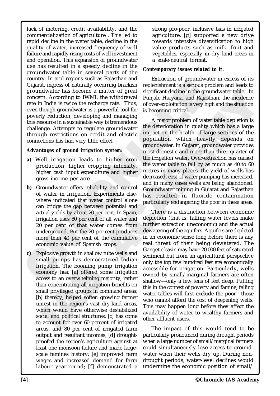Country. In and regions solon as bagasinal and<br>
Guigrat, ingress of naturally occurring brackish replenishment is a serious production. The content of the serior and the general significant decision oncer. According to IW lack of metering, credit availability, and the commercialization of agriculture . This led to rapid decline in the water table, decline in the quality of water, increased frequency of well failure and rapidly rising costs of well investment and operation. This expansion of groundwater use has resulted in a speedy decline in the groundwater table in several parts of the country. In arid regions such as Rajasthan and Gujarat, ingress of naturally occurring brackish groundwater has become a matter of great concern. According to IWMI, the withdrawal rate in India is twice the recharge rate. Thus, even though groundwater is a powerful tool for poverty reduction, developing and managing this resource in a sustainable way is tremendous challenge. Attempts to regulate groundwater through restrictions on credit and electric connections has had very little effect.

#### *Advantages of ground irrigation system:*

- **a)** Well irrigation leads to higher crop production, higher cropping intensity, higher cash input expenditure and higher gross income per acre.
- **b)** Groundwater offers reliability and control of water in irrigation. Experiments elsewhere indicated that water control alone can bridge the gap between potential and actual yields by about 20 per cent. In Spain, irrigation uses 80 per cent of all water and 20 per cent of that water comes from underground. But the 20 per cent produces more than 40 per cent of the cumulative economic value of Spanish crops.
- rigation. The booming pump<br>conomy has: [a] offered some<br>ccess to an overwhelming major<br>nan concentrating all irrigation h<br>mall privileged groups in comm<br>nl] thereby, helped soften growi<br>nrest in the region's vast dry-l<br>thi rigation. The booming pump<br>conomy has: [a] offered some<br>cess to an overwhelming majori<br>an concentrating all irrigation b<br>mall privileged groups in comma<br>] thereby, helped soften growin<br>rest in the region's vast dry-la<br>hich **c)** Explosive growth in shallow tube wells and small pumps has democratized Indian irrigation. The booming pump irrigation economy has: [a] offered some irrigation access to an overwhelming majority, rather than concentrating all irrigation benefits on small privileged groups in command areas; [b] thereby, helped soften growing farmer unrest in the region's vast dry-land areas, which would have otherwise destabilized social and political structures; [c] has come to account for over 60 percent of irrigated areas, and 80 per cent of irrigated farm output and resultant incomes; [d] droughtproofed the region's agriculture against at least one monsoon failure and made largescale famines history; [e] improved farm wages and increased demand for farm labour year-round; [f] demonstrated a

strong pro-poor, inclusive bias in irrigated agriculture; [g] supported a new drive towards intensive diversification to high value products such as milk, fruit and vegetables, especially in dry land areas in a scale-neutral format.

#### *Contemporary issues related to it:*

Extraction of groundwater in excess of its replenishment is a serious problem and leads to significant decline in the groundwater table. In Punjab, Haryana, and Rajasthan, the incidence of over-exploitation is very high and the situation is becoming critical.

Fraction is the antique of the transmistant in the second and polynomially occurring brackish prelenishment is a serious pinne a matter of great significant decline in the groundwale e recharge rate. Thus, of over-exploita and the withdrawal Punjab, Haryana, and Rajasthan, the incidence greate. Thus, increasing for exploitation is very high and the situation overful tool for is becoming critical. An exploitation is very high and the situatio A major problem of water table depletion is the deterioration in quality which has a large impact on the health of large sections of the population which heavily depends on groundwater. In Gujarat, groundwater provides most domestic and more than three-quarter of the irrigation water. Over-extraction has caused the water table to fall by as much as 40 to 60 metres in many places, the yield of wells has decreased, cost of water pumping has increased, and in many cases wells are being abandoned. Groundwater mining in Gujarat and Rajasthan has resulted in fluoride contamination particularly endangering the poor in these areas.

There is a distinction between economic depletion (that is, falling water levels make further extraction uneconomic) and the actual dewatering of the aquifers. Aquifers are depleted in an economic sense long before there is any real threat of their being dewatered. The Gangetic basin may have 20,000 feet of saturated sediment but from an agricultural perspective only the top few hundred feet are economically accessible for irrigation. Particularly, wells owned by small/marginal farmers are often shallow—only a few tens of feet deep. Putting this in the context of poverty and famine, falling water tables will first exclude the poor—those who cannot afford the cost of deepening wells. This may happen long before they affect the availability of water to wealthy farmers and other affluent users.

The impact of this would tend to be particularly pronounced during drought periods when a large number of small/marginal farmers could simultaneously lose access to groundwater when their wells dry up. During nondrought periods, water-level declines would undermine the economic position of small/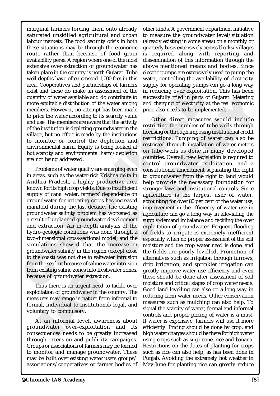existing saline zones into freshw<br>use of groundwater extraction.<br>Thus there is an urgent need to<br>bitation of groundwater in the co<br>ures may range in nature from<br>al, individual to institutional<br>ntary to compulsory.<br>At an in existing saine zones into rreshw<br>use of groundwater extraction.<br>hus there is an urgent need to t<br>itation of groundwater in the co<br>ures may range in nature from i<br>al, individual to institutional/<br>ntary to compulsory.<br>t an i groundwater salinity problem has worsened as a result of unplanned groundwater development and extraction. An in-depth analysis of the hydro-geologic conditions was done through a two-dimensional cross-sectional model, and the simulations showed that the increase in groundwater salinity in the region (except close to the coast) was not due to saltwater intrusion from the sea but because of saline water intrusion from existing saline zones into freshwater zones, because of groundwater extraction. Thus there is an urgent need to tackle over exploitation of groundwater in the country. The measures may range in nature from informal to formal, individual to institutional/legal, and

voluntary to compulsory.

are not being addressed.

At an informal level, awareness about groundwater over-exploitation and its consequences needs to be greatly increased through extension and publicity campaigns. Groups or associations of farmers may be formed to monitor and manage groundwater. These may be built over existing water users groups/ associations/cooperatives or farmer bodies of

marginal farmers forcing them onto already saturated unskilled agricultural and urban labour markets. The food security crisis in both these situations may be through the economic route rather than because of food grain availability perse. A region where one of the most extensive over-extraction of groundwater has taken place in the country is north Gujarat. Tube well depths have often crossed 1,000 feet in this area. Cooperatives and partnerships of farmers exist and these do make an assessment of the quantity of water available and do contribute to more equitable distribution of the water among members. However, no attempt has been made to price the water according to its scarcity value and use. The members are aware that the activity of the institution is depleting groundwater in the village, but no effort is made by the institutions to monitor or control the depletion and environmental harm. Equity is being looked at but scarcity and environmental harm/depletion

Problems of water quality are emerging even in areas, such as the water-rich Krishna delta in Andhra Pradesh, a highly productive area known for its high crop yields. Due to insufficient supply of canal water, farmers' dependence on groundwater for irrigating crops has increased manifold during the last decade. The existing

other kinds. A government department initiative to measure the groundwater level/situation (already existing in some areas) on a monthly or quarterly basis extensively across blocks/villages is required along with reporting and dissemination of this information through the above mentioned means and bodies. Since electric pumps are extensively used to pump the water, controlling the availability of electricity supply for operating pumps can go a long way in reducing over exploitation. This has been successfully tried in parts of Gujarat. Metering and charging of electricity at the real economic price also needs to be implemented.

area. Conservation parametering or intensity of oriental parametering parametering in the case sit and these do make an assessment of the in reducting over exploit quantity of water available and do contribute to successfu Parameters of a massessment of the in reducing over exploitation of the water among and charging over exploita<br>tion of the water among and charging over exploitation of the water among and charging of electricity attempt do contribute to<br>
he water among and charging of electricity at the same made<br>
he thas been made<br>
he price also needs to be implemented.<br>
Its scarcity value<br>
of the direct also needs to be implemented.<br>
Its scarcity value<br> Other direct measures would include restricting the number of tube-wells through licensing or through imposing institutional credit restrictions. Pumping of water can also be restricted through installation of water meters on tube-wells as done in many developed countries. Overall, new legislation is required to control groundwater exploitation, and a constitutional amendment separating the right to groundwater from the right to land would help provide the necessary foundation for stronger laws and institutional controls. Since agriculture is the largest user of water, accounting for over 80 per cent of the water use, improvement in the efficiency of water use in agriculture can go a long way in alleviating the supply-demand imbalance and tackling the over exploitation of groundwater. Frequent flooding of fields to irrigate is extremely inefficient especially when no proper assessment of the soil moisture and the crop water need is done, and the fields are poorly levelled. Promotion of alternatives such as irrigation through furrows, drip irrigation, and sprinkler irrigation can greatly improve water use efficiency and even these should be done after assessment of soil moisture and critical stages of crop water needs. Good land levelling can also go a long way in reducing farm water needs. Other conservation measures such as mulching can also help. To signal the scarcity of water, formal and informal controls and proper pricing of water is a must. If water is expensive, farmers will use it more efficiently. Pricing should be done by crop, and high water charges should be there for high water using crops such as sugarcane, rice and banana. Restrictions on the dates of planting for crops such as rice can also help, as has been done in Punjab. Avoiding the extremely hot weather in May-June for planting rice can greatly reduce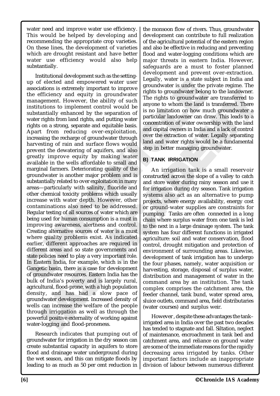water need and improve water use efficiency. This would be helped by developing and recommending the appropriate crop varieties. On these lines, the development of varieties which are drought resistant and have better water use efficiency would also help substantially.

up of elected and empowered water user  $V_{\text{expIM}}$ , water is a suce specialized that in the efficiency and equity in groundwater refluctions to the afficiency and equity in groundwater refluctions to the afficiency and equ ONICLE Stern multa, for example, which<br>etic basin, there is a case for de<br>uundwater resources. Eastern Inc<br>of India's poverty and is larg<br>ultural, flood-prone, with a high j<br>lty, and has had a slow<br>dwater development. Increased<br>c Merit mand, for example, which<br>tic basin, there is a case for devention basin, there is a case for devention<br>of India's poverty and is large litural, flood-prone, with a high p<br>ty, and has had a slow<br>dwater development. In Institutional development such as the settingup of elected and empowered water user associations is extremely important to improve the efficiency and equity in groundwater management. However, the ability of such institutions to implement control would be substantially enhanced by the separation of water rights from land rights, and putting water rights on a strong, separate and equitable basis. Apart from reducing over-exploitation, increasing the recharge of groundwater through harvesting of rain and surface flows would prevent the dewatering of aquifers, and also greatly improve equity by making water available in the wells affordable to small and marginal farmers. Deteriorating quality of the groundwater is another major problem and is substantially related to over exploitation in many areas—particularly with salinity, fluoride and other chemical toxicity problems which usually increase with water depth. However, other contaminations also need to be addressed. Regular testing of all sources of water which are being used for human consumption is a must in improving awareness, alertness and control. Creating alternative sources of water is a must where quality problems exist. As indicated earlier, different approaches are required in different areas and so state governments and state policies need to play a very important role. In Eastern India, for example, which is in the Gangetic basin, there is a case for development of groundwater resources. Eastern India has the bulk of India's poverty and is largely rural, agricultural, flood-prone, with a high population density, and has had a slow pace of groundwater development. Increased density of wells can increase the welfare of the people through irriggation as well as through the powerful positive externality of working against water-logging and flood-proneness.

Research indicates that pumping out of groundwater for irrigation in the dry season can create substantial capacity in aquifers to store flood and drainage water underground during the wet season, and this can mitigate floods by leading to as much as 50 per cent reduction in the monsoon flow of rivers. Thus, groundwater development can contribute to full realization of the agricultural potential of the eastern region and also be effective in reducing and preventing flood and water-logging conditions which are major threats in eastern India. However, safeguards are a must to foster planned development and prevent over-extraction. Legally, water is a state subject in India and groundwater is under the private regime. The rights to groundwater belong to the landowner. The rights to groundwater are transferred to anyone to whom the land is transferred. There is no limitation on how much groundwater a particular landowner can draw. This leads to a concentration of water ownership with the land and capital owners in India and a lack of control over the extraction of water. Legally separating land and water rights would be a fundamental step in better managing groundwater.

## **B) TANK IRRIGATION**

Exam to unprove the rights to groundwater belong to the landowner.<br>
How are groundwater are transferred to any anyone to whom the land is transferred. There is no limitation on how much groundwater a<br>
d anyone to whom the An irrigation tank is a small reservoir constructed across the slope of a valley to catch and store water during rainy season and use it for irrigation during dry season. Tank irrigation systems also act as an alternative to pump projects, where energy availability, energy cost or ground-water supplies are constraints for pumping. Tanks are often connected in a long chain where surplus water from one tank is led to the next in a large drainage system. The tank system has four different functions in irrigated agriculture: soil and water conservation, flood control, drought mitigation and protection of environment of surrounding areas. Likewise, development of tank irrigation has to undergo the four phases, namely, water acquisition or harvesting, storage, disposal of surplus water, distribution and management of water in the command area by an institution. The tank complex comprises the catchment area, the feeder channel, tank bund, water spread area, sluice outlets, command area, field distributaries (water courses) and surplus weir.

> However , despite these advantages the tank– irrigated area in India over the past two decades has tended to stagnate and fall. Siltation, neglect of maintenance, encroachment in tank bed and catchment area, and reliance on ground water are some of the immediate reasons for the rapidly decreasing area irrigated by tanks. Other important factors include an inappropriate division of labour between numerous different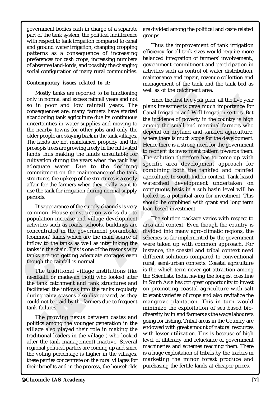government bodies each in charge of a separate part of the tank system, the political indifference with respect to tank irrigation compared to canal and ground water irrigation, changing cropping patterns as a consequence of increasing preferences for cash crops, increasing numbers of absentee land-lords, and possibly the changing social configuration of many rural communities.

#### *Contemporary issues related to it:*

Mostly tanks are reported to be functioning well as of the catchment and<br>uly in normal and excess rainfall years and not comparent and by rainfall years and not comparent and low rainfall years. The plans investments gave Mostly tanks are reported to be functioning only in normal and excess rainfall years and not so in poor and low rainfall years. The consequences are: many farmers have started abandoning tank agriculture due its continuous uncertainties in water supplies and moving to the nearby towns for other jobs and only the older people are staying back in the tank villages. The lands are not maintained properly and the prosopis trees are growing freely in the cultivated lands thus making the lands unsuitable for cultivation during the years when the tank has adequate water. Due to the declining commitment on the maintenance of the tank structures, the upkeep of the structures is a costly affair for the farmers when they really want to use the tank for irrigation during normal supply periods.

Disappearance of the supply channels is very common. House construction works due to population increase and village development activities such as roads, schools, buildings are concentrated in the government poramboke (common) lands which are the main source of inflow to the tanks as well as interlinking the tanks in the chain. This is one of the reasons why tanks are not getting adequate storages even though the rainfall is normal.

The traditional village institution<br>katti or madayan thotti who lower ank catchment and tank strue<br>tated the inflows into the tank<br>ng rainy seasons also disappear<br>d not be paid by the farmers due<br>failures.<br>The growing nexu he traditional village institu<br>katti or madayan thotti who lo<br>ank catchment and tank struc<br>tated the inflows into the tanks<br>ig rainy seasons also disappeare<br>l not be paid by the farmers due t<br>failures.<br>he growing nexus bet The traditional village institutions like needkatti or madayan thotti who looked after the tank catchment and tank structures and facilitated the inflows into the tanks regularly during rainy seasons also disappeared, as they could not be paid by the farmers due to frequent tank failures.

The growing nexus between castes and politics among the younger generation in the village also played their role in making the traditional leaders in the village ( who looked after the tank management) inactive. Several regional political parties are coming up and since the voting percentage is higher in the villages, these parties concentrate on the rural villages for their benefits and in the process, the households

are divided among the political and caste related groups.

Thus the improvement of tank irrigation efficiency for all tank sizes would require more balanced integration of farmers' involvement., government commitment and participation in activities such as control of water distribution, maintenance and repair, revenue collection and management of the tank and the tank bed as well as of the catchment area.

and the set of the structures is a costly of the solution of the solution of the solution of the first five year pay farmers have started plans investments gave move than the solution of the model of the model in the incid From the state of containing to the first five year plan, all the five year<br>all years and not<br>intended  $\Gamma$  canal Irrigation and Well Irrigation sectors. But<br>it is the incidence of poetry in the country is high<br>and moving Since the first five year plan, all the five year plans investments gave much importance for Canal Irrigation and Well Irrigation sectors. But the incidence of poverty in the country is high among the small and marginal farmers who depend on dryland and tankfed agriculture, where there is much scope for the development. Hence there is a strong need for the government to reorient its investment pattern towards them. The solution therefore has to come up with specific area development approach for combining both the tankfed and rainfed agriculture. In south Indian context, Tank based watershed development undertaken on contiguous basis in a sub basin level will be looked as a potential area for investment. This should be combined with grant and long term loan based investment.

The solution package varies with respect to area and context. Even though the country is divided into many agro-climatic regions, the schemes so far implemented by the government were taken up with common approach. For instance, the coastal and tribal context need different solutions compared to conventional rural, semi-urban contexts. Coastal agriculture is the which term never got attraction among the Scientists. India having the longest coastline in South Asia has got great opportunity to invest on promoting coastal agriculture with salt tolerant varieties of crops and also revitalize the mangrove plantation. This in turn would minimize the exploitation of sea based biodiversity by inland farmers as the wage labourers going for fishing. Tribal areas in the Country are endowed with great amount of natural resources with lesser utilization. This is because of high level of illiteracy and reluctance of government machineries and schemes reaching them. There is a huge exploitation of tribals by the traders in marketing the minor forest produce and purchasing the fertile lands at cheaper prices.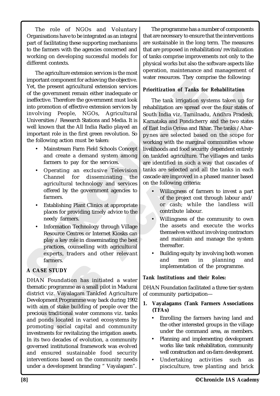The role of NGOs and Voluntary Organisations have to be integrated as an integral part of facilitating these supporting mechanisms to the farmers with the agencies concerned and working on developing successful models for different contexts.

myntation<br>poperation connection at the objective.<br>
The present agricultural extension services<br>
of the government remain either inadequate or<br>
Infective Chredore government music look.<br>
The installation are spread over<br>
i The agriculture extension services is the most important component for achieving the objective. Yet, the present agricultural extension services of the government remain either inadequate or ineffective. Therefore the government must look into promotion of effective extension services by involving People, NGOs, Agricultural Universities / Research Stations and Media. It is well known that the All India Radio played an important role in the first green revolution. So the following action must be taken:

- Mainstream Farm Field Schools Concept and create a demand system among farmers to pay for the services.
- Operating an exclusive Television Channel for disseminating the agricultural technology and services offered by the government agencies to farmers.
- **Establishing Plant Clinics at appropriate** places for providing timely advice to the needy farmers.
- Information Technology through Village Resource Centres or Internet Kiosks can play a key role in disseminating the best practices, counselling with agricultural experts, traders and other relevant farmers.

# **A CASE STUDY**

SE STUDY<br>N Foundation has initiated<br>tic programme as a small pilot i<br>ct viz. Vayalagam Tankfed A<br>opment Programme way back d<br>aim of stake building of peopl<br>bus traditional water commons<br>bonds located in varied ecosy<br>oting **SE STUDY**<br>N Foundation has initiated<br>tic programme as a small pilot in<br>text viz. Vayalagam Tankfed Agopment Programme way back du<br>im of stake building of people<br>us traditional water commons<br>oonds located in varied ecosy<br>o DHAN Foundation has initiated a water thematic programme as a small pilot in Madurai district viz. Vayalagam Tankfed Agriculture Development Programme way back during 1992 with aim of stake building of people over the precious traditional water commons viz. tanks and ponds located in varied ecosystems by promoting social capital and community investments for revitalizing the irrigation assets. In its two decades of evolution, a community governed institutional framework was evolved and ensured sustainable food security interventions based on the community needs under a development branding " Vayalagam".

The programme has a number of components that are necessary to ensure that the interventions are sustainable in the long term. The measures that are proposed in rehabilitation/revitalization of tanks comprise improvements not only to the physical works but also the software aspects like operation, maintenance and management of water resources. They comprise the following:

## *Prioritization of Tanks for Rehabilitation*

The tank in either indequate or<br>government must look<br>government must look<br>of The tank irrigation systems<br>in either indequate or<br>government must look<br>of The tank irrigation systems of The tank irrigation systems<br>of The tank Frankruing and Media. It is the analysis of Tamks for Rehabilitation<br>
and ment must look<br>
agricultural south India viz. Taminadu, Andhra Pradela, It is<br>
advantable and Media. It is karnataka and Pondicherry and the two sta The tank irrigation systems taken up for rehabilitation are spread over the four states of South India viz. Tamilnadu, Andhra Pradesh, Karnataka and Pondicherry and the two states of East India Orissa and Bihar. The tanks /Aharpynes are selected based on the scope for working with the marginal communities whose livelihoods and food security dependent entirely on tankfed agriculture. The villages and tanks are identified in such a way that cascades of tanks are selected and all the tanks in each cascade are improved in a phased manner based on the following criteria:

- Willingness of farmers to invest a part of the project cost through labour and/ or cash; while the landless will contribute labour.
- Willingness of the community to own the assets and execute the works themselves without involving contractors and maintain and manage the system thereafter.
- Building equity by involving both women and men in planning and implementation of the programme.

## *Tank Institutions and their Roles:*

DHAN Foundation facilitated a three tier system of community participation—

- **1. Vayalagams (Tank Farmers Associations (TFAs)**
	- Enrolling the farmers having land and the other interested groups in the village under the command area, as members.
	- Planning and implementing development works like tank rehabilitation, community well construction and on-farm development.
	- Undertaking activities such as pisciculture, tree planting and brick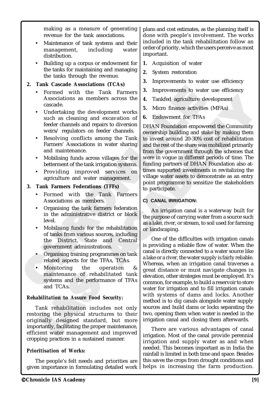making as a measure of generating revenue for the tank associations.

- Maintenance of tank systems and their management, including water distribution.
- Building up a corpus or endowment for the tanks for maintaining and managing the tanks through the revenue.

## **2. Tank Cascade Associations (TCAs)**

- Formed with the Tank Farmers Associations as members across the cascade.
- Undertaking the development works such as cleaning and excavation of feeder channels and repairs to diversion weirs/ regulators on feeder channels.
- Resolving conflicts among the Tank Farmers' Associations in water sharing and maintenance.
- Mobilising funds across villages for the betterment of the tank irrigation systems.
- Providing improved services on agriculture and water management.

## **3. Tank Farmers Federations (TFFs)**

- Formed with the Tank Farmers Associations as members.
- Organising the tank farmers federation in the administrative district or block level.
- Mobilising funds for the rehabilitation of tanks from various sources, including the District, State and Central government administrations.
- Organising training programmes on tank related aspects for the TFAs, TCAs.
- Monitoring the operation maintenance of rehabilitated tank systems and the performance of TFAs and TCAs.

## *Rehabilitation to Assure Food Security:*

Monitoring the operation<br>maintenance of rehabilit<br>systems and the performand<br>and TCAs.<br>bilitation to Assure Food Sect<br>ank rehabilitation includes<br>oring the physical structure<br>inally designed standard,<br>prtantly, facilitatin maintenance of rehabilita<br>systems and the performance<br>and TCAs.<br>bilitation to Assure Food Secu<br>ank rehabilitation includes<br>ring the physical structures<br>nally designed standard, l<br>rtantly, facilitating the proper maint Tank rehabilitation includes not only restoring the physical structures to their originally designed standard, but more importantly, facilitating the proper maintenance, efficient water management and improved cropping practices in a sustained manner.

## *Prioritisation of Works:*

The people's felt needs and priorities are given importance in formulating detailed work

plans and cost estimates, as the planning itself is done with people's involvement. The works included in the tank rehabilitation follow an order of priority, which the users perceive as most important.

- **1.** Acquisition of water
- **2.** System restoration
- **3.** Improvements to water use efficiency
- **3.** Improvements to water use efficiency
- **4.** Tankfed agriculture development
- **5.** Micro finance activities (MFAs)
- **6.** Endowment for TFAs

Formed with the Tank Farmers<br>
A Formed with the Tank Farmers and excelusions as members across the<br>
Undertaking the development works<br>
Undertaking the development works<br>
Undertaking the development works<br>
Undertaking the d the Tank Farmers<br>
as members across the<br>
ne development works<br>
ne and excavation of<br>
and repairs to diversion<br>
and repairs to diversion<br>
s on feeder channels.<br>
The Tank in the Tank is to invest around 20-30% c<br>
across vill Paramore School and School and School and School and School and School and School and School and School and School and School and School and School and School and School and School and School and School and School and Scho DHAN Foundation empowered the Community ownership building and stake by making them to invest around 20-30% cost of rehabilitation and the rest of the share was mobilized primarily from the government through the schemes that were in vogue in different periods of time. The funding partners of DHAN Foundation also attimes supported investments in revitalizing the village water assets to demonstrate as an entry point programme to sensitize the stakeholders to participate.

## **C) CANAL IRRIGATION:**

An irrigation canal is a waterway built for the purpose of carrying water from a source such as a lake, river, or stream, to soil used for farming or landscaping.

One of the difficulties with irrigation canals is providing a reliable flow of water. When the canal is directly connected to a water source like a lake or a river, the water supply is fairly reliable. Whereas, when an irrigation canal traverses a great distance or must navigate changes in elevation, other strategies must be employed. It's common, for example, to build a reservoir to store water for irrigation and to fill irrigation canals with systems of dams and locks. Another method is to dig canals alongside water supply sources and build dams or locks separating the two, opening them when water is needed in the irrigation canal and closing them afterwards.

There are various advantages of canal irrigation. Most of the canal provide perennial irrigation and supply water as and when needed. This becomes important as in India the rainfall is limited in both time and space. Besides this saves the crops from drought conditions and helps in increasing the farm production.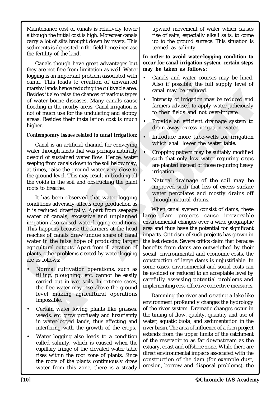Maintenance cost of canals is relatively lower although the initial cost is high. Moreover canals carry a lot of silts brought down by rivers. This sediments is deposited in the field hence increase the fertility of the land.

Canals though have great advantages but they are not free from limitation as well. Water logging is an important problem associated with canal. This leads to creation of unwanted marshy lands hence reducing the cultivable area. Besides it also raise the chances of various types of water borne diseases. Many canals cause flooding in the nearby areas. Canal irrigation is not of much use for the undulating and sloppy areas. Besides their installation cost is much higher.

#### *Contemporary issues related to canal irrigation:*

Treation of unwanted<br>
the cing the cultivable area.<br>
hances of various types<br>
reas. Canal irrigation is<br>
tens. Many canals cause<br>
tens. Canal irrigation is<br>
undulating and sloppy<br>
undulating and sloppy<br>
to their fields and Canal is an artificial channel for conveying water through lands that was perhaps naturally devoid of sustained water flow. Hence, water seeping from canals down to the soil below may, at times, raise the ground water very close to the ground level. This may result in blocking all the voids in the soil and obstructing the plant roots to breathe.

canal. This leads to creation of unwanted<br>
massive lands of possible, the function of unwanted and<br>
massive lands are reducing the calibration of where bore bore to be<br>
besides it also raise the chances of various types<br>
o It has been observed that water logging conditions adversely affects crop production as it is reduced drastically. Apart from seepage water of canals, excessive and unplanned irrigation also caused water logging conditions. This happens because the farmers at the head reaches of canals draw undue share of canal water in the false hope of producing larger agricultural outputs. Apart from ill aeration of plants, other problems created by water logging are as follows:

- formal cultivation operations<br>Iling, ploughing, etc. cannot<br>arried out in wet soils. In extre<br>ne free water may rise above tl<br>vel making agricultural of<br>npossible.<br>ertain water loving plants lik<br>reeds, etc. grow profusely ormal cultivation operations,<br>lling, ploughing, etc. cannot<br>rried out in wet soils. In extre<br>e free water may rise above th<br>vel making agricultural op<br>possible.<br>ertain water loving plants like<br>eeds, etc. grow profusely and • Normal cultivation operations, such as tilling, ploughing, etc. cannot be easily carried out in wet soils. In extreme cases, the free water may rise above the ground level making agricultural operations impossible.
- Certain water loving plants like grasses, weeds, etc. grow profusely and luxuriantly in water-logged lands, thus affecting and interfering with the growth of the crops.
- Water logging also leads to a condition called salinity, which is caused when the capillary fringe of the elevated water table rises within the root zone of plants. Since the roots of the plants continuously draw water from this zone, there is a steady

upward movement of water which causes rise of salts, especially alkali salts, to come up to the ground surface. This situation is termed as salinity.

#### **In order to avoid water-logging condition to occur for canal irrigation system, certain steps may be taken as follows:**

- Canals and water courses may be lined. Also if possible, the full supply level of canal may be reduced.
- Intensity of irrigation may be reduced and farmers advised to apply water judiciously to their fields and not over-irrigate.
- Provide an efficient drainage system to drain away excess irrigation water.
- Introduce more tube-wells for irrigation which shall lower the water table.
- Cropping pattern may be suitably modified such that only low water requiring crops are planted instead of those requiring heavy irrigation.
- Natural drainage of the soil may be improved such that less of excess surface water percolates and mostly drains off through natural drains.

Converting and may be reduced.<br>
The strategy canal scales the primers and integration is a then the fields and not over-irrigate.<br>
The may be reduced and signal scales the may be more than and integration to their fields a When canal system consist of dams, these large dam projects cause irreversible environmental changes over a wide geographic area and thus have the potential for significant impacts. Criticism of such projects has grown in the last decade. Severe critics claim that because benefits from dams are outweighed by their social, environmental and economic costs, the construction of large dams is unjustifiable. In some cases, environmental and social costs can be avoided or reduced to an acceptable level by carefully assessing potential problems and implementing cost-effective corrective measures.

> Damming the river and creating a lake-like environment profoundly changes the hydrology of the river system. Dramatic changes occur in the timing of flow, quality, quantity and use of water, aquatic biota, and sedimentation in the river basin. The area of influence of a dam project extends from the upper limits of the catchment of the reservoir to as far downstream as the estuary, coast and offshore zone. While there are direct environmental impacts associated with the construction of the dam (for example dust, erosion, borrow and disposal problems), the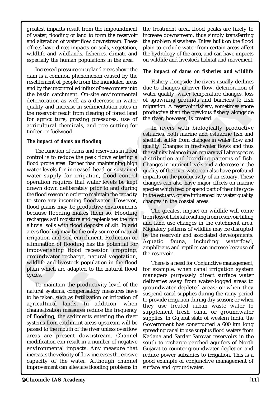greatest impacts result from the impoundment of water, flooding of land to form the reservoir and alteration of water flow downstream. These effects have direct impacts on soils, vegetation, wildlife and wildlands, fisheries, climate and especially the human populations in the area.

Increased pressure on upland areas above the dam is a common phenomenon caused by the resettlement of people from the inundated areas and by the uncontrolled influx of newcomers into the basin catchment. On-site environmental deterioration as well as a decrease in water quality and increase in sedimentation rates in the reservoir result from clearing of forest land for agriculture, grazing pressures, use of agricultural chemicals, and tree cutting for timber or fuelwood.

#### *The impact of dams on flooding*

and by the uncontrolled influx of new<br>comens into the the state in either a shell and catchment. On site environmental<br>
where quality, water temperature are in sellingly and increase in selling<br>
the reservoir result from The function of dams and reservoirs in flood control is to reduce the peak flows entering a flood prone area. Rather than maintaining high water levels for increased head or sustained water supply for irrigation, flood control operation requires that water levels be kept drawn down deliberately prior to and during the flood season in order to maintain the capacity to store any incoming floodwater. However, flood plains may be productive environments because flooding makes them so. Flooding recharges soil moisture and replenishes the rich alluvial soils with flood deposits of silt. In arid areas flooding may be the only source of natural irrigation and soil enrichment. Reduction or elimination of flooding has the potential for impoverishing flood recession cropping, groundwater recharge, natural vegetation, wildlife and livestock population in the flood plain which are adapted to the natural flood cycles.

I which are adapted to the hasts.<br>
S.<br>
Co maintain the productivity levels are:<br>
taken, such as fertilization or incultural lands. In addition<br>
relization measures reduce the<br>
pooding, the sediments entering<br>
ms from catch s.<br>
s.<br>
o maintain the productivity lead systems, compensatory measures taken, such as fertilization or incultural lands. In addition<br>
nelization measures reduce the pooding, the sediments entering<br>
ms from catchment areas To maintain the productivity level of the natural systems, compensatory measures have to be taken, such as fertilization or irrigation of agricultural lands. In addition, when channelization measures reduce the frequency of flooding, the sediments entering the river systems from catchment areas upstream will be passed to the mouth of the river unless overflow areas are present downstream. Channel modification can result in a number of negative environmental impacts. Any measure that increases the velocity of flow increases the erosive capacity of the water. Although channel improvement can alleviate flooding problems in the treatment area, flood peaks are likely to increase downstream, thus simply transferring the problem elsewhere. Dikes built on the flood plain to exclude water from certain areas affect the hydrology of the area, and can have impacts on wildlife and livestock habitat and movement.

#### *The impact of dams on fisheries and wildlife*

Fishery alongside the rivers usually declines due to changes in river flow, deterioration of water quality, water temperature changes, loss of spawning grounds and barriers to fish migration. A reservoir fishery, sometimes snore productive than the previous fishery alongside the river, however, is created.

influx of newcomers into due to changes in river flow the sale and the sale of spawning grounds are as a decrease in water of spawning grounds are sedimentation rates in migration. A reservoir fished in the previous pressu Experimental ware teaming the streament changes, tosses<br>
erease in water of spawning grounds and barriers to fish<br>
entation rates in migration. A reservoir fishery, sometimes snore<br>
systems, use of<br>
the river, however, is In rivers with biologically productive estuaries, both marine and estuarine fish and shellfish suffer from changes in water flow and quality. Changes in freshwater flows and thus the salinity balance in an estuary will alter species distribution and breeding patterns of fish. Changes in nutrient levels and a decrease in the quality of the river water can also have profound impacts on the productivity of an estuary. These changes can also have major effects on marine species which feed or spend part of their life cycle in the estuary, or are influenced by water quality changes in the coastal areas.

The greatest impact on wildlife will come from loss of habitat resulting from reservoir filling and land use changes in the catchment area. Migratory patterns of wildlife may be disrupted by the reservoir and associated developments. Aquatic fauna, including waterfowl, amphibians and reptiles can increase because of the reservoir.

There is a need for Conjunctive management, for example, when canal irrigation system managers purposely direct surface water deliveries away from water-logged areas to groundwater depleted areas; or when they suspend canal supplies during the rainy period to provide irrigation during dry season; or when they use treated urban waste water to supplement fresh canal or groundwater supplies. In Gujarat state of western India, the Government has constructed a 600 km long spreading canal to use surplus flood waters from Kadana and Sardar Sarovar reservoirs in the south to recharge parched aquifers of North Gujarat to counter groundwater depletion and reduce power subsidies to irrigation. This is a good example of conjunctive management of surface and groundwater.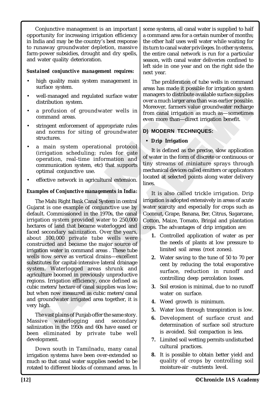Conjunctive management is an important opportunity for increasing irrigation efficiency in India and may be the country's best response to runaway groundwater depletion, massive farm-power subsidies, drought and dry spells, and water quality deterioration.

#### *Sustained conjunctive management requires:*

- high quality main system management in surface system.
- well-managed and regulated surface water distribution system.
- a profusion of groundwater wells in command areas.
- stringent enforcement of appropriate rules and norms for siting of groundwater structures.
- a main system operational protocol (irrigation scheduling; rules for gate operation, real-time information and communication system, etc) that supports optimal conjunctive use.
- effective network in agricultural extension.

#### *Examples of Conjunctive managements in India:*

Figure quality main system management in The proliferation of tubs<br>
surface system. The proliferation of tubs areas has made it possible<br>
distribution system.<br>
A a profitsion of groundwater wells in the present and the sys m. Waterlogged areas shr<br>alture boomed in previously unjust. Irrigation efficiency, once of<br>meters/hectare of canal supplie<br>then now measured as cubic me<br>groundwater irrigated area togo<br>high.<br>he vast plains of Punjab offer m. Waterlogged areas shru<br>https://waterlogged areas shru<br>https://waterlogged areas shru<br>https://web.com/measured as cubic method<br>https://water-integrated area toge<br>high.<br>https://waterlogging and station in the 1950s and 60 The Mahi Right Bank Canal System in central Gujarat is one example of conjunctive use by default. Commissioned in the 1970s, the canal irrigation system provided water to 250,000 hectares of land that became waterlogged and faced secondary salinization. Over the years, about 100,000 private tube wells were constructed and became the major source of irrigation water in command areas . These tube wells now serve as vertical drains—excellent substitutes for capital-intensive lateral drainage system. Waterlogged areas shrunk and agriculture boomed in previously unproductive regions. Irrigation efficiency, once defined as cubic meters/hectare of canal supplies was low; but when now measured as cubic meters/canal and groundwater irrigated area together, it is very high.

The vast plains of Punjab offer the same story. Massive waterlogging and secondary salinization in the 1950s and 60s have eased or been eliminated by private tube well development.

Down south in Tamilnadu, many canal irrigation systems have been over-extended so much so that canal water supplies needed to be rotated to different blocks of command areas. In some systems, all canal water is supplied to half a command area for a certain number of months; the other half uses well water while waiting for its turn to canal water privileges. In other systems, the entire canal network is run for a particular season, with canal water deliveries confined to left side in one year and on the right side the next year.

System management in<br>
For proliferation of tube<br>
regulated surface water<br>
managers to distribute availa<br>
over a much larger area than<br>
more amound the surface water<br>
from canal irrigation as much<br>
the more than—direct irri The proliferation of tube wells in command areas has made it possible for irrigation system managers to distribute available surface supplies over a much larger area than was earlier possible. Moreover, farmers value groundwater recharge from canal irrigation as much as—sometimes even more than—direct irrigation benefit.

## **D) MODERN TECHNIQUES:**

#### • **Drip Irrigation**

It is defined as the precise, slow application of water in the form of discrete or continuous or tiny streams of miniature sprays through mechanical devices called emitters or applicators located at selected points along water delivery lines.

d surface water<br>
also surface the managers to distribute available surface supplies<br>
over a much larger area than was earlier possible.<br>
Noreover, farmers value groundwater recharge<br>
even more than—direct irrigation as muc It is also called trickle irrigation. Drip irrigation is adopted extensively in areas of acute water scarcity and especially for crops such as Coconut, Grape, Banana, Ber, Citrus, Sugarcane, Cotton, Maize, Tomato, Brinjal and plantation crops. The advantages of drip irrigation are:

- **1.** Controlled application of water as per the needs of plants at low pressure to limited soil areas (root zones).
- **2.** Water saving to the tune of 50 to 70 per cent by reducing the total evaporative surface, reduction in runoff and controlling deep percolation losses.
- **3.** Soil erosion is minimal, due to no runoff water on surface.
- **4.** Weed growth is minimum.
- **5.** Water loss through transpiration is low.
- **6.** Development of surface crust and determination of surface soil structure is avoided. Soil compaction is less.
- **7.** Limited soil wetting permits undisturbed cultural practices.
- **8.** It is possible to obtain better yield and quality of crops by controlling soil moisture-air -nutrients level.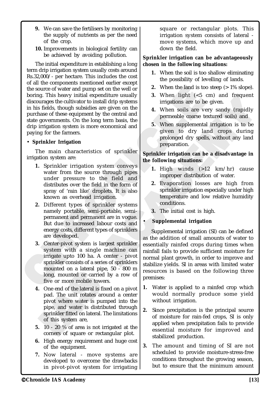- **9.** We can save the fertilisers by monitoring the supply of nutrients as per the need of the crop.
- **10.** Improvements in biological fertility can be achieved by avoiding pollution.

This heavy initial expenditure usually<br>
the source of water and pump set on the well or<br>
broing. This heavy initial expenditure usually<br>
in his fields, though subsidists are given on the<br>
unchase of these equity<br>meritor to pump set on the well or<br>
ital expenditure usually<br>
or to install drip systems<br>
bsidies are given on the<br>
the long term basis, the<br>
is more economical and<br>
is more economical and<br>
is more economical and<br>
is more economical The initial expenditure in establishing a long term drip irrigation system usually costs around Rs.32,000/- per hectare. This includes the cost of all the components mentioned earlier except the source of water and pump set on the well or boring. This heavy initial expenditure usually discourages the cultivator to install drip systems in his fields, though subsidies are given on the purchase of these equipment by the central and state governments. On the long term basis, the drip irrigation system is more economical and paying for the farmers.

#### • **Sprinkler Irrigation**

The main characteristics of sprinkler irrigation system are:

- **1.** Sprinkler irrigation system conveys water from the source through pipes under pressure to the field and distributes over the field in the form of spray of 'rain like' droplets. It is also known as overhead irrigation.
- **2.** Different types of sprinkler systems namely portable, semi-portable, semipermanent and permanent are in vogue. But due to increased labour costs and energy costs, different types of sprinklers are developed.
- **3.** Center-pivot system is largest sprinkler system with a single machine can irrigate upto 100 ha. A center - pivot sprinkler consists of a series of sprinklers mounted on a lateral pipe, 50 - 800 m long, mounted or carried by a row of five or more mobile towers.
- mounted on a lateral pipe, a<br>long, mounted or carried by<br>five or more mobile towers.<br>One end of the lateral is fixed<br>pad. The unit rotates aroun<br>pivot where water is pumpe<br>pipe, and water is distribute<br>sprinkler fitted on mounted on a lateral pipe, 3<br>long, mounted or carried by<br>five or more mobile towers.<br>One end of the lateral is fixed<br>pad. The unit rotates aroune<br>pivot where water is pumpe<br>pipe, and water is distribute<br>sprinkler fitted on **4.** One end of the lateral is fixed on a pivot pad. The unit rotates around a center pivot where water is pumped into the pipe, and water is distributed through sprinkler fitted on lateral. The limitations of this system are,
- **5.** 10 20 % of area is not irrigated at the corners of square or rectangular plot.
- **6.** High energy requirement and huge cost of the equipment.
- **7.** Now lateral move systems are developed to overcome the drawbacks in pivot-pivot system for irrigating

square or rectangular plots. This irrigation system consists of lateral move systems, which move up and down the field.

#### **Sprinkler irrigation can be advantageously chosen in the following situations:**

- **1.** When the soil is too shallow eliminating the possibility of levelling of lands.
- **2.** When the land is too steep (> 1% slope).
- **3.** When light (<5 cm) and frequent irrigations are to be given.
- **4.** When soils are very sandy (rapidly permeable coarse textured soils) and
- **5.** When supplemental irrigation is to be given to dry land crops during prolonged dry spells, without any land preparation.

#### **Sprinkler irrigation can be a disadvantage in the following situations:**

- **1.** High winds (>12 km/hr) cause improper distribution of water.
- **2.** Evaporation losses are high from sprinkler irrigation especially under high temperature and low relative humidity conditions.
- **3.** The initial cost is high.

## • **Supplemental irrigation**

Fractium is a summation and the same of the same dual drip systems<br>
and drip systems<br>
are given on the<br>
transland<br>
teconomical and<br>
teconomical and<br>
teconomical and<br>
teconomical and<br>
teconomical and<br>
teconomical and<br>
tecon Supplemental irrigation (SI) can be defined as the addition of small amounts of water to essentially rainfed crops during times when rainfall fails to provide sufficient moisture for normal plant growth, in order to improve and stabilize yields. SI in areas with limited water resources is based on the following three premises:

- **1.** Water is applied to a rainfed crop which would normally produce some yield without irrigation.
- **2.** Since precipitation is the principal source of moisture for rain-fed crops, SI is only applied when precipitation fails to provide essential moisture for improved and stabilized production.
- **3.** The amount and timing of SI are not scheduled to provide moisture-stress-free conditions throughout the growing season, but to ensure that the minimum amount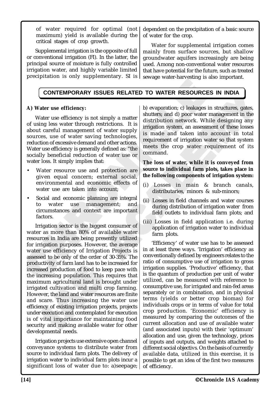of water required for optimal (not maximum) yield is available during the critical stages of crop growth.

Supplemental irrigation is the opposite of full or conventional irrigation (FI). In the latter, the principal source of moisture is fully controlled irrigation water, and highly variable limited precipitation is only supplementary. SI is dependent on the precipitation of a basic source of water for the crop.

Water for supplemental irrigation comes mainly from surface sources, but shallow groundwater aquifers increasingly are being used. Among non-conventional water resources that have potential for the future, such as treated sewage water-harvesting is also important.

# **CONTEMPORARY ISSUES RELATED TO WATER RESOURCES IN INDIA**

## **A) Water use efficiency:**

Water use efficiency is not simply a matter of using less water through restrictions. It is about careful management of water supply sources, use of water saving technologies, reduction of excessive demand and other actions. Water use efficiency is generally defined as: "the socially beneficial reduction of water use or water loss. It simply implies that:

- Water resource use and protection are given equal concern; external social, environmental and economic effects of water use are taken into account:
- Social and economic planning are integral to water use management; and circumstances and context are important factors.

CONTEMPORARY ISSUES RELATED TO WATER RESOURCE<br>
A) Water use efficiency:<br>
Water use efficiency is not simply a matter shutters: and d) poor water<br>
of using less water through restrictions. It is distribution network. Wh<br>
so Ictivity of rarm land has to be increasing population. This req<br>noreasing population. This req<br>num agricultural land is brou<br>ted cultivation and multi crop<br>ver, the land and water resource<br>scare. Thus increasing the v<br>ncy Ed production of food to keep<br>sed production of food to keep<br>creasing population. This requ<br>mum agricultural land is broug<br>ted cultivation and multi crop<br>ver, the land and water resources<br>care. Thus increasing the w<br>mey of Irrigation sector is the biggest consumer of water as more than 80% of available water resources in India are being presently utilized for irrigation purposes. However, the average water use efficiency of Irrigation Projects is assessed to be only of the order of 30-35%. The productivity of farm land has to be increased for increased production of food to keep pace with the increasing population. This requires that maximum agricultural land is brought under irrigated cultivation and multi crop farming. However, the land and water resources are finite and scare. Thus increasing the water use efficiency of existing irrigation projects, projects under execution and contemplated for execution is of vital importance for maintaining food security and making available water for other developmental needs.

Irrigation projects use extensive open channel conveyance systems to distribute water from source to individual farm plots. The delivery of irrigation water to individual farm plots incur a significant loss of water due to: a) seepage;

RY ISSUES RELATED TO WATER RESOURCE<br>
y:<br>
is not simply a matter<br>
b) evaporation; c) leakages<br>
is not simply a matter<br>
distribution network. Wh<br>
ment of water supply<br>
is made and taken into<br>
saving technologies,<br>
is made an SUES RELATED TO WATER RESOURCES IN INDIA<br>
imply a matter by evaporation: c) leakages in structures, gates,<br>
imply a matter subtlivition network. While designing any<br>
strictions. It is distribution network. While designing b) evaporation; c) leakages in structures, gates, shutters; and d) poor water management in the distribution network. While designing any irrigation system, an assessment of these losses is made and taken into account in total requirement of irrigation water so that system meets the crop water requirement of its command.

#### **The loss of water, while it is conveyed from source to individual farm plots, takes place in the following components of irrigation system:**

- (i) Losses in main & branch canals, distributaries, minors & sub-minors;
- (ii) Losses in field channels and water courses during distribution of irrigation water from field outlets to individual farm plots; and
- (iii) Losses in field application i.e. during application of irrigation water to individual farm plots.

'Efficiency' of water use has to be assessed in at least three ways. 'Irrigation' efficiency as conventionally defined by engineers relates to the ratio of consumptive use of irrigation to gross irrigation supplies. 'Productive' efficiency, that is the quantum of production per unit of water utilized, can be measured with reference to consumptive use, for irrigated and rain-fed areas separately or in combination, and in physical terms (yields or better crop biomas) for individuals crops or in terms of value for total crop production. 'Economic' efficiency is measured by comparing the outcomes of the current allocation and use of available water (and associated inputs) with their 'optimum' allocation and use, given the technology, prices of inputs and outputs, and weights attached to different social objectivs. On the basis of currently available data, utilized in this exercise, it is possible to get an idea of the first two measures of efficiency.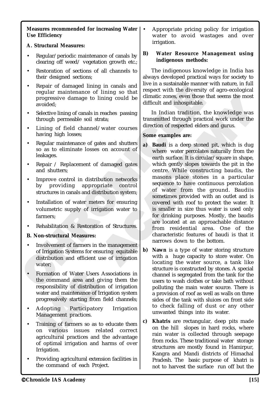#### **Measures recommended for increasing Water Use Efficiency**

## **A. Structural Measures:**

- Regular/periodic maintenance of canals by clearing off weed/ vegetation growth etc.;
- Restoration of sections of all channels to their designed sections;
- Repair of damaged lining in canals and regular maintenance of lining so that progressive damage to lining could be avoided;
- Selective lining of canals in reaches passing through permeable soil strata;
- Lining of field channel/water courses having high losses;
- Regular maintenance of gates and shutters so as to eliminate losses on account of leakages.
- Repair / Replacement of damaged gates and shutters;
- Improve control in distribution networks by providing appropriate control structures in canals and distribution system;
- Installation of water meters for ensuring volumetric supply of irrigation water to farmers;
- Rehabilitation & Restoration of Structures.

## **B. Non-structural Measures:**

- Involvement of farmers in the management of Irrigation Systems for ensuring equitable distribution and efficient use of irrigation water<sup>.</sup>
- Formation of Water Users Assote<br>
he command area and giving<br>
esponsibility of distribution of<br>
water and maintenance of Irrigat<br>
progressively starting from field<br>
Adopting Participatory<br>
Management practices.<br>
Fraining of Cormation of Water Users Assotraneon<br>he command area and giving<br>esponsibility of distribution of<br>vater and maintenance of Irrigat<br>rogressively starting from field<br>dopting Participatory<br>Management practices.<br>Training of far • Formation of Water Users Associations in the command area and giving them the responsibility of distribution of irrigation water and maintenance of Irrigation system progressively starting from field channels;
- Adopting Participatory Irrigation Management practices.
- Training of farmers so as to educate them on various issues related correct agricultural practices and the advantage of optimal irrigation and harms of over Irrigation.
- Providing agricultural extension facilities in the command of each Project.

• Appropriate pricing policy for irrigation water to avoid wastages and over irrigation.

#### **B) Water Resource Management using indigenous methods:**

The indigenous knowledge in India has always developed practical ways for society to live in a sustainable manner with nature, in full respect with the diversity of agro-ecological climatic zones, even those that seems the most difficult and inhospitable.

In Indian tradition, the knowledge was transmitted through practical work under the direction of respected elders and gurus.

#### **Some examples are:**

- Frequare of damaged image in canaals and giving in cannot denoted;<br>
regular maintenance of lining so that is espect with the diversity<br>
progressive damage to lining could definal conserved difficult and inhospitable.<br>
Sele Example to lining so that<br>
anals in reaches passing<br>
so that and the difficult and inhospitable.<br>
anals in reaches passing<br>
so that and interest through practice in the solid strata;<br>
thannel/water courses<br>
<br>
some examples ining could be<br>
reaches passing<br>
the difficult and inhospitable.<br>
The Indian tradition, the knowledge was<br>
transmitted through practical work under the<br>
twater courses<br>
the constraint tradition of respected elders and guru **a) Baudi** is a deep stoned pit, which is dug where water percolates naturally from the earth surface. It is circular/square in shape. which gently slopes towards the pit in the centre. While constructing baudis, the masons place stones in a particular sequence to have continuous percolation of water from the ground. Baudiis sometimes provided with an outlet and is covered with roof to protect the water. It is smaller in size thus water is used only for drinking purposes. Mostly, the baudis are located at an approachable distance from residential area. One of the characteristic features of baudi is that it narrows down to the bottom.
	- **b) Nawn** is a type of water storing structure with a huge capacity to store water. On locating the water source, a tank like structure is constructed by stones. A special channel is segregated from the tank for the users to wash clothes or take bath without polluting the main water source. There is a provision of roof as well as walls on three sides of the tank with sluices on front side to check falling of dust or any other unwanted things into its water.
	- **c) Khatris** are rectangular, deep pits made on the hill slopes in hard rocks, where rain water is collected through seepage from rocks. These traditional water storage structures are mostly found in Hamirpur, Kangra and Mandi districts of Himachal Pradesh. The basic purpose of khatri is not to harvest the surface run off but the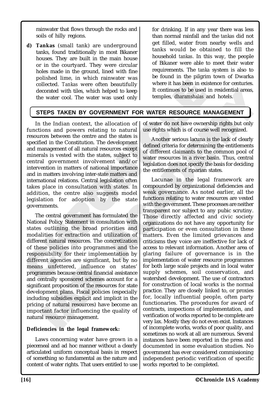rainwater that flows through the rocks and soils of hilly regions.

**d) Tankas** (small tank) are underground tanks, found traditionally in most Bikaner houses. They are built in the main house or in the courtyard. They were circular holes made in the ground, lined with fine polished lime, in which rainwater was collected. *Tankas* were often beautifully decorated with tiles, which helped to keep the water cool. The water was used only for drinking. If in any year there was less than normal rainfall and the *tankas* did not get filled, water from nearby wells and tanks would be obtained to fill the household *tankas*. In this way, the people of Bikaner were able to meet their water requirements. The *tanka* system is also to be found in the pilgrim town of Dwarka where it has been in existence for centuries. It continues to be used in residential areas, temples, *dharamshalas* and hotels.

# **STEPS TAKEN BY GOVERNMENT FOR WATER RESOURCE MANAGEMENT**

Fourise time with the sixten in where it has been in exidenced that as were often beautifully<br>
the value of the used only the sixten beautifully<br>
the water cool. The water was used only the temples, *dharamshalas*<br>  $\bullet$  t Were often beautifully<br>
External to keep<br>
External to keep<br>
External to keep<br>
External to keep<br>
External to keep<br>
External to have during to natural<br>
Solution of the states is<br>
the allocation of the states is<br>
Another seri In the Indian context, the allocation of functions and powers relating to natural resources between the centre and the states is specified in the Constitution. The development and management of all natural resources except minerals is vested with the states, subject to central government involvement and/or intervention in matters of national importance and in matters involving inter-state matters and international relations. Central legislation often takes place in consultation with states. In addition, the centre also suggests model legislation for adoption by the state governments.

is unfettered, influence of ammes because central financial<br>entrally sponsored schemes acc<br>icant proposition of the resource<br>opment plans. Fiscal policies (<br>ding subsidies explicit and imp<br>ig of natural resources) have hel s unfettered, influence or<br>ammes because central financial<br>entrally sponsored schemes acco<br>cant proposition of the resource<br>opment plans. Fiscal policies ((<br>ling subsidies explicit and impl<br>g of natural resources) have bet The central government has formulated the National Policy Statement in consultation with states outlining the broad priorities and modalities for extraction and utilization of different natural resources. The concretization of these policies into programmes and the responsibility for their implementation by different agencies are significant, but by no means unfettered, influence on states' programmes because central financial assistance and centrally sponsored schemes account for a significant proposition of the resources for state development plans. Fiscal policies (especially including subsidies explicit and implicit in the pricing of natural resources) have become an important factor influencing the quality of natural resource management.

#### **Deficiencies in the legal framework:**

Laws concerning water have grown in a piecemeal and ad hoc manner without a clearly articulated uniform conceptual basis in respect of something so fundamental as the nature and content of water rights. That users entitled to use of water do not have ownership rights but only use rights which is of course well recognized.

Another serious lacuna is the lack of clearly defined criteria for determining the entitlements of different claimants to the common pool of water resources in a river basin. Thus, central legislation does not specify the basis for deciding the entitlements of riparian states.

helped to keep<br>
was used only<br>
and the temples, dharamshalas and hotels.<br> **ERNMENT FOR WATER RESOURCE MANAGEMENT**<br>
allocation of of water do not have ownership rights but only<br>
any to natural<br>
and the states is<br>
allocation Lacunae in the legal framework are compounded by organizational deficiencies and weak governance. As noted earlier, all the functions relating to water resources are vested with the government. These processes are neither transparent nor subject to any pubic scrutiny. Those directly affected and civic society organizations do not have any opportunity for participation or even consultation in these matters. Even the limited grievances and criticisms they voice are ineffective for lack of access to relevant information. Another area of glaring failure of governance is in the implementation of water resource programmes for both large scale projects and in local water supply schemes, soil conservation, and watershed development. The use of contractors for construction of local works is the normal practice. They are closely linked to, or proxies for, locally influential people, often party functionaries. The procedures for award of contracts, inspections of implementation, and verification of works reported to be complete are very lax. Mostly they do not even exist. Instances of incomplete works, works of poor quality, and sometimes no work at all are numerous. Several instances have been reported in the press and documented in some evaluation studies. No government has ever considered commissioning independent periodic verification of specific works reported to be completed.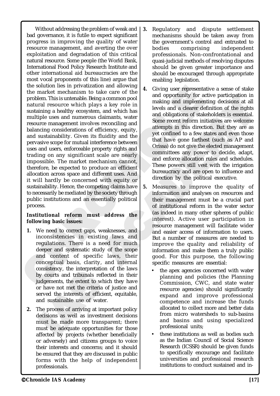the solution last my privariate and allowing is a colution and allowing the market mechanism to take care of the and opportunity for a summative which plays a key role in a summative which plays a key role in the levels an Valization and anowing<br>
on to take care of the<br>
ch plays a key role in and opportunity for accompany on only as a key role in<br>
the plays a key role in a dividend and a clearer de-<br>
involves reconciling and<br>
involves reconc Without addressing the problem of weak and bad governance, it is futile to expect significant progress in improving the quality of water resource management, and averting the over exploitation and degradation of this critical natural resource. Some people (the World Bank, International Food Policy Research Institute and other international aid bureaucracies are the most vocal proponents of this line) argue that the solution lies in privatization and allowing the market mechanism to take care of the problem. This is untenable. Being a common pool natural resource which plays a key role in sustaining a healthy ecosystem, and which has multiple uses and numerous claimants, water resource management involves reconciling and balancing considerations of efficiency, equity, and sustainability. Given its fluidity and the pervasive scope for mutual interference between uses and users, enforceable property rights and trading on any significant scale are nearly impossible. The market mechanism cannot, therefore, be expected to produce an efficient allocation across space and different uses. And it will hardly be concerned with equity or sustainability. Hence, the competing claims have to necessarily be mediated by the society through public institutions and an essentially political process.

#### **Institutional reform must address the following basic issues:**

- consistency, the interpretation of<br>by courts and tribunals reflect<br>udgements, the extent to which<br>or have not met the criteria of<br>erved the interests of efficient<br>and sustainable use of water.<br>The process of arriving at im onsistency, the interpretation of<br>y courts and tribunals reflecte<br>idgements, the extent to which<br>r have not met the criteria of j<br>erved the interests of efficient,<br>md sustainable use of water.<br>The process of arriving at im **1.** We need to correct gaps, weaknesses, and inconsistencies in existing laws and regulations. There is a need for much deeper and systematic study of the scope and content of specific laws, their conceptual basis, clarity, and internal consistency, the interpretation of the laws by courts and tribunals reflected in their judgements, the extent to which they have or have not met the criteria of justice and served the interests of efficient, equitable, and sustainable use of water.
- **2.** The process of arriving at important policy decisions as well as investment decisions must be made more transparent; there must be adequate opportunities for those affected by projects (whether beneficially or adversely) and citizens groups to voice their interests and concerns; and it should be ensured that they are discussed in public forms with the help of independent
- **3.** Regulatory and dispute settlement mechanisms should be taken away from the government's control and entrusted to bodies comprising independent professionals. Non-confrontational and quasi-judicial methods of resolving disputes should be given greater importance and should be encouraged through appropriate enabling legislation.
- Eventigation in the water and the matter and the matter and the matter and the matter and the scheme that all the density and the density and the density and the scheme the mean term infinitives are welcome the density and **4.** Giving user representative a sense of stake and opportunity for active participation in making and implementing decisions at all levels and a clearer definition of the rights and obligations of stakeholders is essential. Some recent reform initiatives are welcome attempts in this direction. But they are as yet confined to a few states and even those that have gone farthest (such as AP and Orissa) do not give the elected management committees any power to decide, adapt, and enforce allocation rules and schedules. These powers still vest with the irrigation bureaucracy and are open to influence and direction by the political executive.
	- **5.** Measures to improve the quality of information and analyses on resources and their management must be a crucial part of institutional reform in the water sector (as indeed in many other spheres of public interest). Active user participation in resource management will facilitate wider and easier access of information to users. But a number of measures are needed to improve the quality and reliability of information and make them a truly public good. For this purpose, the following specific measures are essential:
		- the apex agencies concerned with water planning and policies (the Planning Commission, CWC, and state water resource agencies) should significantly expand and improve professional competence and increase the funds allocated to collect more and better data from micro watersheds to sub-basins and basins and using specialized professional units;
		- these institutions as well as bodies such as the Indian Council of Social Science Research (ICSSR) should be given funds to specifically encourage and facilitate universities and professional research institutions to conduct sustained and in-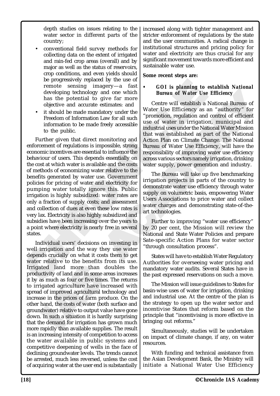depth studies on issues relating to the water sector in different parts of the country;

- conventional field survey methods for collecting data on the extent of irrigated and rain-fed crop areas (overall) and by major as well as the status of reservoirs, crop conditions, and even yields should be progressively replaced by the use of remote sensing imagery—a fast developing technology and one which has the potential to give far more objective and accurate estimates: and
- it should be made mandatory under the Freedom of Information Law for all such information to be made freely accessible to the public.

be progressively replaced by the use of the energy states of the same of Water Use the potential to give far more than the potential of two finds the potential of the more than the more than the more than the more than the replaced by the use of<br>
ial to give far more<br>
ial to give far more<br>
ial to give far more<br>
le mandatory under the<br>
le mandatory under the Water Use Efficiency as a<br>
mation Law for all such<br>
<sup>1</sup> water Use Efficiency as a<br>
ma Further given that direct monitoring and enforcement of regulations is impossible, strong economic incentives are essential to influence the behaviour of users. This depends essentially on the cost at which water is available and the costs of methods of economizing water relative to the benefits generated by water use. Government policies for pricing of water and electricity for pumping water totally ignore this. Public irrigation is highly subsidized: water rates are only a fraction of supply costs; and assessment and collection of dues at even these low rates is very lax. Electricity is also highly subsidized and subsidies have been increasing over the years to a point where electricity is nearly free in several states.

Transition of the semi-transitional deviated land more than douctivity of land and in some area<br>as much as four or five times. T<br>igated agriculture have increase in the prices of farm produ-<br>hand, the costs of water (both ted land more than dou<br>ctivity of land and in some areas<br>as much as four or five times. Tl<br>igated agriculture have increa<br>d of improved agricultural techne<br>se in the prices of farm produc<br>hand, the costs of water (both su<br> Individual users' decisions on investing in well irrigation and the way they use water depends crucially on what it costs them to get water relative to the benefits from its use. Irrigated land more than doubles the productivity of land and in some areas increases it by as much as four or five times. The returns to irrigated agriculture have increased with spread of improved agricultural technology and increase in the prices of farm produce. On the other hand, the costs of water (both surface and groundwater) relative to output value have gone down. In such a situation it is hardly surprising that the demand for irrigation has grown much more rapidly than available supplies. The result is an increasing intensity of competition to access the water available in public systems and competitive deepening of wells in the face of declining groundwater levels. The trends cannot be arrested, much less reversed, unless the cost of acquiring water at the user end is substantially increased along with tighter management and stricter enforcement of regulations by the state and the user communities. A radical change in institutional structures and pricing policy for water and electricity are thus crucial for any significant movement towards more efficient and sustainable water use.

#### **Some recent steps are:**

#### *• GOI is planning to establish National Bureau of Water Use Efficiency*

and one which<br>
is that the stational control of the mean of Water Use Efficiency<br>
stationary under the<br>
actory under the value of example in trigation, muricipal and<br>
actory under the station and control of efficiency<br>
rea Centre will establish a National Bureau of Water Use Efficiency as an "authority" for "promotion, regulation and control of efficient use of water in irrigation, municipal and industrial uses under the National Water Mission that was established as part of the National Action Plan on Climate Change. The National Bureau of Water Use Efficiency, will have the responsibility of improving water use efficiency across various sectors namely irrigation, drinking water supply, power generation and industry.

The Bureau will take up five benchmarking irrigation projects in parts of the country to demonstrate water use efficiency through water supply on volumetric basis, empowering Water Users Associations to price water and collect water charges and demonstrating state-of-theart technologies.

Further to improving "water use efficiency" by 20 per cent, the Mission will review the National and State Water Policies and prepare Sate-specific Action Plans for water sector "through consultation process".

States will have to establish Water Regulatory Authorities for overseeing water pricing and mandatory water audits. Several States have in the past expressed reservations on such a move.

The Mission will issue guidelines to States for basin-wise uses of water for irrigation, drinking and industrial use. At the centre of the plan is the strategy to open up the water sector and incentivise States that reform based on the principle that "incentivising is more effective in bringing out reforms."

Simultaneously, studies will be undertaken on impact of climate change, if any, on water resources.

With funding and technical assistance from the Asian Development Bank, the Ministry will initiate a National Water Use Efficiency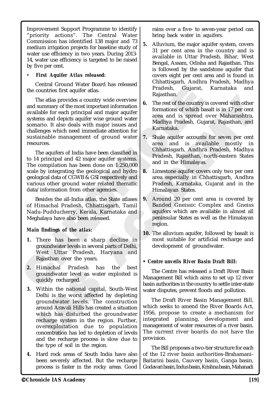Improvement Support Programme to identify "priority actions". The Central Water Commission has identified 138 major and 73 medium irrigation projects for baseline study of water use efficiency in two years. During 2013- 14, water use efficiency is targeted to be raised by five per cent.

#### *• First Aquifer Atlas released:*

Central Ground Water Board has released the countries first aquifer atlas.

Fractional viewer bound viewer is becaused the countries first aquifer atlas.<br>
The atlas provides a country wide overview and series and in the countries first aquifer atlas.<br>
The rest of the country available for each pri Net round may readesh, and may readesh, and may readesh, and missing the ratios of the country wide overview stimportant information (and major aquifer area and is spread with major spreads with major spreads with major sp The atlas provides a country wide overview and summary of the most important information available for each principal and major aquifer systems and depicts aquifer wise ground water scenario. It also deals with major issues and challenges which need immediate attention for sustainable management of ground water resources.

The aquifers of India have been classified in to 14 principal and 42 major aquifer systems. The compilation has been done on 1:250,000 scale by integrating the geological and hydro geological data of CGWB & GSI respectively and various other ground water related thematic data/information from other agencies.

Besides the all-India atlas, the State atlases of Himachal Pradesh, Chhattisgarh, Tamil Nadu-Pudducherry, Kerala, Karnataka and Meghalaya have also been released.

## *Main findings of the atlas:*

- **1.** There has been a sharp decline in groundwater levels in several parts of Delhi, West Uttar Pradesh, Haryana and Rajasthan over the years.
- **2.** Himachal Pradesh has the best groundwater level as water exploited is quickly recharged.
- France Present as water experience in<br>groundwater level as water expected<br>puickly recharged.<br>Delhi is the worst affected by<br>groundwater levels. The co<br>round Aravali Hills has created<br>which has disturbed the groundwater<br>ech Froundwater level as water ex-<br>uickly recharged.<br>Vithin the national capital, So<br>Delhi is the worst affected by<br>roundwater levels. The cor-<br>round Aravali Hills has created<br>which has disturbed the gro-<br>echarge system in the **3.** Within the national capital, South-West Delhi is the worst affected by depleting groundwater levels. The construction around Aravali Hills has created a situation which has disturbed the groundwater recharge system in the region. Further, overexploitation due to population concentration has led to depletion of levels and the recharge process is slow due to the type of soil in the region.
- **4.** Hard rock areas of South India have also been severely affected. But the recharge process is faster in the rocky areas. Good

rains over a five- to seven-year period can bring back water in aquifers.

- **5.** Alluvium, the major aquifer system, covers 31 per cent area in the country and is available in Uttar Pradesh, Bihar, West Bengal, Assam, Odisha and Rajasthan. This is followed by the sandstone aquifer that covers eight per cent area and is found in Chhattisgarh, Andhra Pradesh, Madhya Pradesh, Gujarat, Karnataka and Rajasthan.
- **6.** The rest of the country is covered with other formations of which basalt is in 17 per cent area and is spread over Maharashtra, Madhya Pradesh, Gujarat, Rajasthan, and Karnataka.
- **7.** Shale aquifer accounts for seven per cent area and is available mostly in Chhattisgarh, Andhra Pradesh, Madhya Pradesh, Rajasthan, north-eastern States and in the Himalayas.
- **8.** Limestone aquifer covers only two per cent area especially in Chhattisgarh, Andhra Pradesh, Karnataka, Gujarat and in the Himalayan States.
- Any wide overview<br>
tant information and the The rest of the country is covered with other<br>
d major says and<br>
act area and is spread over Maharashtra,<br>
agior issues and<br>
act area and is spread over Maharashtra,<br>
and Karnata **9.** Around 20 per cent area is covered by Banded Gneissic Complex and Gneiss aquifers which are available in almost all peninsular States as well as the Himalayan region.
	- **10.** The alluvium aquifer, followed by basalt is most suitable for artificial recharge and development of groundwater.

## **•** *Centre unveils River Basin Draft Bill:*

The Centre has released a Draft River Basin Management Bill which aims to set up 12 river basin authorities in the country to settle inter-state water disputes, prevent floods and pollution.

The Draft River Basin Management Bill, which seeks to amend the River Boards Act, 1956, propose to create a mechanism for integrated planning, development and management of water resources of a river basin. The current river boards do not have the provision.

The Bill proposes a two-tier structure for each of the 12 river basin authorities-Brahamani-Baitarini basin, Cauvery basin, Ganga basin, Godavari basin, Indus basin, Krishna basin, Mahanadi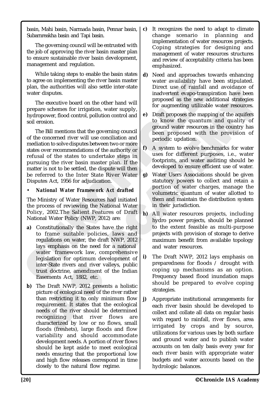basin, Mahi basin, Narmada basin, Pennar basin, Subarnreakha basin and Tapi basin.

The governing council will be entrusted with the job of approving the river basin master plan to ensure sustainable river basin development, management and regulation.

While taking steps to enable the basin states to agree on implementing the river basin master plan, the authorities will also settle inter-state water disputes.

The executive board on the other hand will prepare schemes for irrigation, water supply, hydropower, flood control, pollution control and soil erosion.

g the river basin master<br>
and the other hand will<br>
indivertent evapo-transport of rainfall<br>
on the other hand will<br>
indivertent evapo-transportance<br>
on the other hand will<br>
ol, pollution control and<br>
or augmenting utilizab The Bill mentions that the governing council of the concerned river will use conciliation and mediation to solve disputes between two or more states over recommendations of the authority or refusal of the states to undertake steps in pursuing the river basin master plan. If the matter is not to be settled, the dispute will then be referred to the Inter State River Water Disputes Act, 1956 for adjudication.

## • *National Water Framework Act drafted*

The Ministry of Water Resources had initiated the process of reviewing the National Water Policy, 2002.The Salient Features of Draft National Water Policy (NWP, 2012) are:

- to agree on implementing the river basin master and biability have<br>pan, the authorities will also settle inter-state<br>where are of rainfall<br>water disputes.<br>The executive board on the other hand will<br>proposed as the new step **a)** Constitutionally the States have the right to frame suitable policies, laws and regulations on water, the draft NWP, 2012 lays emphasis on the need for a national water framework law, comprehensive legislation for optimum development of inter-State rivers and river valleys, public trust doctrine, amendment of the Indian Easements Act, 1882, etc.
	- nter-State rivers and river valle<br>ust doctrine, amendment of t<br>asements Act, 1882, etc.<br>he Draft NWP, 2012 presents<br>icture of ecological need of the r<br>nan restricting it to only minin<br>equirement. It states that the<br>eeds of ter-State rivers and river valley<br>ust doctrine, amendment of th<br>asements Act, 1882, etc.<br>ne Draft NWP, 2012 presents<br>cture of ecological need of the ri<br>an restricting it to only minin<br>quirement. It states that the e<br>eeds o **b)** The Draft NWP, 2012 presents a holistic picture of ecological need of the river rather than restricting it to only minimum flow requirement. It states that the ecological needs of the river should be determined recognizing that river flows are characterized by low or no flows, small floods (freshets), large floods and flow variability and should accommodate development needs. A portion of river flows should be kept aside to meet ecological needs ensuring that the proportional low and high flow releases correspond in time closely to the natural flow regime.
- **c)** It recognizes the need to adapt to climate change scenario in planning and implementation of water resources projects. Coping strategies for designing and management of water resources structures and review of acceptability criteria has been emphasized.
- **d)** Need and approaches towards enhancing water availability have been stipulated. Direct use of rainfall and avoidance of inadvertent evapo-transpiration have been proposed as the new additional strategies for augmenting utilizable water resources.
- **e)** Draft proposes the mapping of the aquifers to know the quantum and quality of ground water resources in the country has been proposed with the provision of periodic updation.
- **f)** A system to evolve benchmarks for water uses for different purposes, i.e., water footprints, and water auditing should be developed to ensure efficient use of water.
- **g)** Water Users Associations should be given statutory powers to collect and retain a portion of water charges, manage the volumetric quantum of water allotted to them and maintain the distribution system in their jurisdiction.
- and the main and total them and maintain the distribution system and the proposed as the new additional strategies<br>tion control and proposed as the new additional strategies for augmenting utilizable water resources.<br>
to k **h)** All water resources projects, including hydro power projects, should be planned to the extent feasible as multi-purpose projects with provision of storage to derive maximum benefit from available topology and water resources.
	- **i)** The Draft NWP, 2012 lays emphasis on preparedness for floods / drought with coping up mechanisms as an option. Frequency based flood inundation maps should be prepared to evolve coping strategies.
	- **j)** Appropriate institutional arrangements for each river basin should be developed to collect and collate all data on regular basis with regard to rainfall, river flows, area irrigated by crops and by source, utilizations for various uses by both surface and ground water and to publish water accounts on ten daily basis every year for each river basin with appropriate water budgets and water accounts based on the hydrologic balances.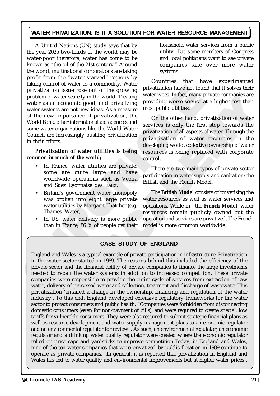## **WATER PRIVATIZATION: IS IT A SOLUTION FOR WATER RESOURCE MANAGEMENT**

Example the volume of the word of the stromanneous that the streat than the version in the streat and control the streat many than the streat many threat the streat means the mean in the word and privarization is were serv Se out of the growing<br>
ty in the world. Treating<br>
good, and privatizing water woes. In fact, many p<br>
good, and privatizing providing worse service a<br>
new ideas. As a measure most public utilities.<br>
The mational aid agencie A United Nations (UN) study says that by the year 2025 two-thirds of the world may be water-poor therefore, water has come to be known as "the oil of the 21st century." Around the world, multinational corporations are taking profit from the "water-starved" regions by taking control of water as a commodity. Water privatization issue rose out of the growing problem of water scarcity in the world. Treating water as an economic good, and privatizing water systems are not new ideas. As a measure of the new importance of privatization, the World Bank, other international aid agencies and some water organizations like the World Water Council are increasingly pushing privatization in their efforts.

**Privatization of water utilities is being common in much of the world;**

- In France, water utilities are private; some are quite large and have worldwide operations such as Veolia and Suez Lyonnaise des Eaux.
- Britain's government water monopoly was broken into eight large private water utilities by Margaret Thatcher (e.g. Thames Water).
- In US, water delivery is more public than in France; 86 % of people get their

household water services from a public utility. But some members of Congress and local politicians want to see private companies take over more water systems.

Countries that have experimented privatization have not found that it solves their water woes. In fact, many private companies are providing worse service at a higher cost than most public utilities.

Fracting wave a mean in the most many private companies are<br>
and privatization, the most public utilities.<br>
S. As a measure most public utilities.<br>
Tradition of water<br>
and agencies and<br>
the World Water<br>
privatization of al On the other hand, privatization of water services is only the first step towards the privatization of all aspects of water. Through the privatization of water resources in the developing world, collective ownership of water resources is being replaced with corporate control.

There are two main types of private sector participation in water supply and sanitation: the British and the French Model.

The **British Model** consists of privatising the water resources as well as water services and operations. While in the **French Model**, water resources remain publicly owned but the operation and services are privatized. The French model is more common worldwide.

#### **CASE STUDY OF ENGLAND**

eded to repair the water system<br>panies were responsible to pi<br>ter, delivery of processed water<br>vatization 'entailed a change i<br>lustry'. To this end, England d<br>tor to protect consumers and pu<br>mestic consumers (even for noneded to repair the water system<br>panies were responsible to preter, delivery of processed water a<br>vatization 'entailed a change in<br>ustry'. To this end, England de<br>tor to protect consumers and pul<br>mestic consumers (even for England and Wales is a typical example of private participation in infrastructure. Privatization in the water sector started in 1989. The reasons behind this included the efficiency of the private sector and the financial ability of private companies to finance the large investments needed to repair the water systems in addition to increased competition. These private companies were responsible to provide the entire cycle of services from extraction of raw water, delivery of processed water and collection, treatment and discharge of wastewater.This privatization 'entailed a change in the ownership, financing and regulation of the water industry'. To this end, England developed extensive regulatory frameworks for the water sector to protect consumers and public health: "Companies were forbidden from disconnecting domestic consumers (even for non-payment of bills), and were required to create special, low tariffs for vulnerable consumers. They were also required to submit strategic financial plans as well as resource development and water supply management plans to an economic regulator and an environmental regulator for review". As such, an environmental regulator, an economic regulator and a drinking water quality regulator were created where the economic regulator relied on price caps and yardsticks to improve competition.Today, in England and Wales, nine of the ten water companies that were privatized by public flotation in 1989 continue to operate as private companies. In general, it is reported that privatization in England and Wales has led to water quality and environmental improvements but at higher water prices .